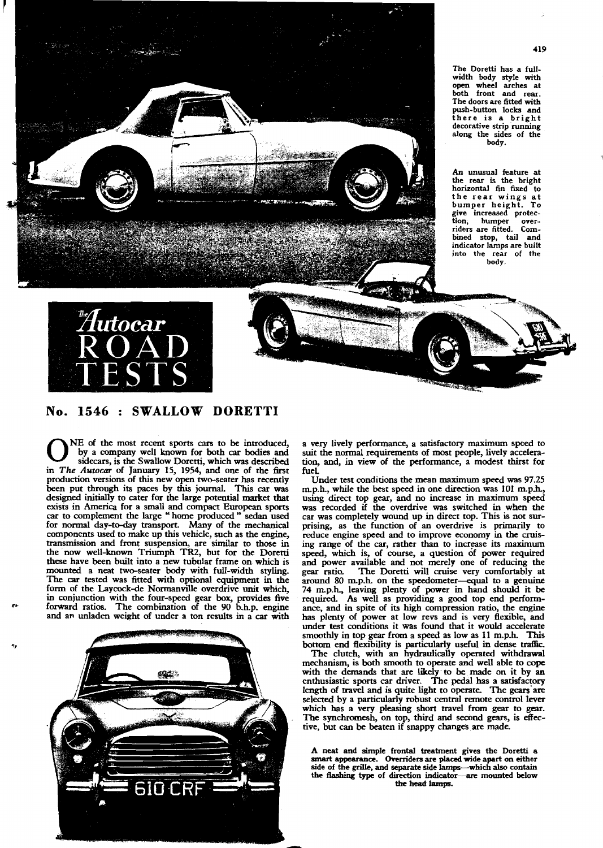

## **No. 1546** : **SWALLOW DORETTI**

**ONE** of the most recent sports cars to be introduced, by a company well known for both car bodies and sidecars, is the Swallow Doretti, which was described in *The Autocar* of January 15, 1954, and one of the first by a company well known for both **car bodies** and sidecars, is the Swallow Doretti, which was described production versions of this new open two-seater has recently been put through its paces by this journal. This car was designed initially to cater for the large potential market that exists in America for a small and compact **European** sports **car** to complement the large home produced " sedan used for normal day-to-day transport. Many of the mechanical components used to make up this vehicle, such as the engine, transmission and front suspension, are similar to those in the now well-known Triumph TR2, but for the Doretti these have been built into a new tubular frame on which is mounted a neat two-seater body with full-width styling. The car tested was fitted with optional equipment in the form of the Laycock-de Norrnanville overdrive unit which, in conjunction with the four-speed gear box, provides five forward ratios. The combination of the 90 b.h.p. engine and an unladen weight of under a ton results in a **car** with



a very lively performance, a satisfactory maximum speed to suit the normal requirements of most people, lively acceleration, and, in view of the performance, a modest thirst for fuel

Under test conditions the mean **maximum** speed was 97.25 m.p.h., while the best speed in one direction was 101 m.p.h., using direct top gear, and no increase in maximum speed was recorded if the overdrive was switched in when the car was completely wound up in direct top. This is not surprising, as the function of an overdrive is primarily to reduce engine speed and to improve economy in the cruising range of the **car,** rather than to increase its maximum speed, which is, of course, a question of power required and power available and not merely one of reducing the gear ratio. The Doretti will cruise very comfortably at The Doretti will cruise very comfortably at around 80 mp.h on the speedometer-equal **to** a genuine 74 m.p.h, leaving plenty of power in hand should it be required. **As** well as providing a good top end performance, and in spite of its high compression ratio, the engine has plenty of power at low revs and is very flexible, and under test conditions it was found that it would accelerate smoothly in top gear from a speed as low as 11 m.p.h This bottom end flexibility is particularly useful in dense traffic.

The clutch, with an hydraulically operated withdrawal mechanism, is both smooth to operate and well able to cope with the demands that are likely to be made on it by an enthusiastic sports car driver. The pedal has a satisfactory length of travel and is quite light to operate. The gears are selected by a particularly robust central remote control lever which has a very pleasing short travel from gear to **gear.**  The synchromesh, on top, third and second gears, is effective, but **can** be beaten if snappy changes are made.

**A neat and simple frontal treatment gives the Doretti a**  smart **appearance. Overriders are placed wide apart on either side of the grille, and separate side lamps-which also contain**  the flashing type of direction indicator-are mounted below the head lamps.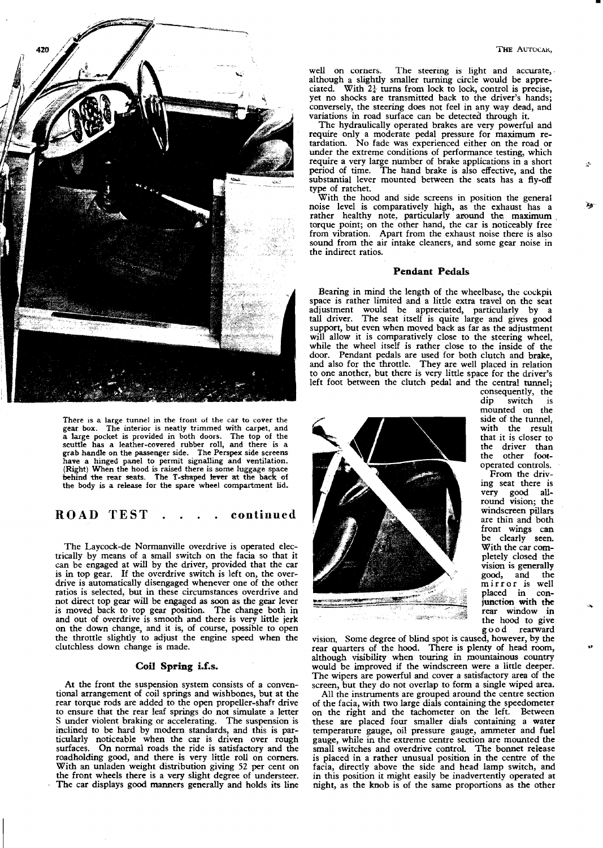

There is a large tunnel in the front of the car to cover the gear box. The interior is neatly trimmed with carpet, and gear box. The interior is neatly trimmed with carpet a large pocket is provided in both doors. The top of the scuttle has a leather-covered rubber roll, and there is a scuttle has a leather-covered rubber roll, and there is a grab handle on the passenger side. The Perspex side screens have a hinged panel to permit signalling and ventilation. (Right) When the hood is raised there is some luggage space **Mind the** rear **seats.** The T-straped kver **at** the back of the body is a release for the spare wheel compartment lid.

## **ROAD TEST** . . . . **contirlued**

The Laycock-de Normanville overdrive is operated electrically by means of a small switch on the facia so that it can be engaged at will by the driver, provided that the car is in top gear. If the overdrive switch is left on, the over-<br>drive is automatically disengaged whenever one of the other ratios is selected, but in these circumstances overdrive and not direct top gear will be engaged as soon as the gear lever is moved back to top gear position. The change both in and out of overdrive is smooth and there is very little jerk on the down change, and it is, of course, possible to open the throttle slightly to adjust the engine speed when the cIutchless down change is made.

### **Coil Spring i.f.s.**

At the front the suspension system consists of a conventional arrangement of coil springs and wishbones, but at the rear torque rods are added to the open propeller-shaft drive to ensure that the rear leaf springs do not simulate a letter S under violent braking or accelerating. The suspension is inclined to be hard by modem standards, and this is particularly noticeable when the car is driven over rough<br>surfaces. On normal roads the ride is satisfactory and the On normal roads the ride is satisfactory and the roadholding good, and there is very little roll on corners.<br>With an unladen weight distribution giving 52 per cent on the front wheels there is a very slight degree of understeer. The car displays good manners generally and holds its line

well on corners. The steering is light and accurate, although a slightly smaller turning circle would **be** appre-With  $2\frac{1}{4}$  turns from lock to lock, control is precise, yet no shocks are transmitted back to the driver's hands; conversely, the steering does not feel in any way dead, and variations in road surface can be detected through it.

The hydraulically operated brakes are very powerful and require only a moderate pedal pressure for maximum re-<br>tardation. No fade was experienced either on the road or under the extreme conditions of performance testing, which require a very large number of brake applications in a short period of time. The hand brake is also effective, and the substantial lever mounted between the seats has a fly-off type of ratchet.

With the hood and side screens in position the general noise level is comparatively high, as the exhaust has a rather healthy note, particularly mund the maximum torque point; on the other hand, the car is noticeably free from vibration. Apart from the exhaust noise there is also sound from the air intake cleaners, and some gear noise in the indirect ratios.

#### **Pendant Pedals**

Bearing in mind the length of the wheelbase, the cockpit space is rather limited and a little extra travel on the seat adjustment would be appreciated, particularly by a tall driver. The seat itself is quite large and gives good support, but even when moved back as far as the adjustment will allow it is comparatively close to the steering wheel, while the wheel itself is rather close to the inside of the door. Pendant pedals are used for both clutch and brake, and also for the throttle. They are well placed in relation to one another, but there is very little space for the driver's left foot between the clutch pedal and the central tunnel;



vision. Some degree of blind spot is caused, however, by the rear quarters of the hood. There is plenty of head room, although visibility when touring in mountainous counrry would be improved if the windscreen were a little deeper. The wipers are powerful and cover a satisfactory area of the screen, but they do not overlap to form a single wiped area.

All the instruments are grouped around the centre section of the facia, with two large dials containing the speedometer on the right and the tachometer on the left. Between these are placed four smaller dials containing a water temperature gauge, oil pressure gauge, ammeter and fuel gauge, while in the extreme centre section are mounted the small switches and overdrive control. The bonnet release is placed in a rather unusual position in the centre of the facia, directly above the side and head lamp switch, and in this position it might easily be inadvertently operated at night, as the knob is of the same proportions as the other

consequently, the<br>dip switch is switch is mounted on the side of the tunnel, with the result that it is closer to the driver than<br>the other footother footoperated controls.

From the driving seat there is very good allround vision; the windscreen pillars are thin and both front wings can<br>be clearly seen. With the car com-<br>pletely closed the vision is generally good, and the mirror is well<br>placed in conjunction with the rear window in the hood to give<br>good rearward rearward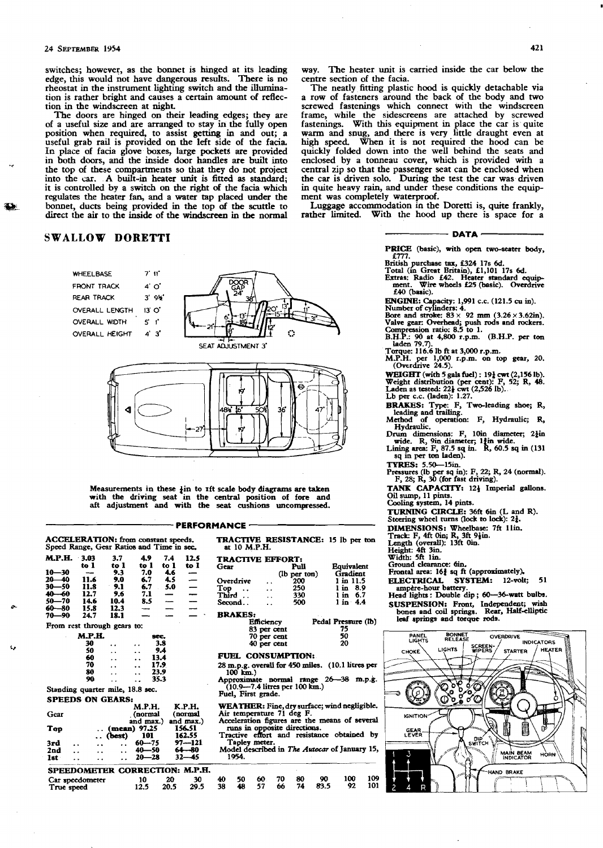switches; however, as the bonnet is hinged at its leading edge, this would not have dangerous results. There is no rheostat in the instrument lighting switch and the illumination is rather bright and causes a certain amount **of** reflection in the windscreen at night.

The doors are hinged on their leading edges; they are of a useful size and are arranged to stay in the fully open position when required, to assist getting in and out; a position when required, to assist **getting** in and out; a useful grab rail is provided on the left side of the facia. In place of facia glove boxes, large pockets are provided in both doors, and the inside door handles are built into the top of these compartments so that they do **not** project into the car. A built-in heater unit is fitted as standard; it is controlled by a switch on the right of the facia which regulates the heater fan, and a water tap placed **under** the bonnet, ducts being provided in the top of the scuttle to direct the air to the inside of the windscreen in the normal

## **SWALLOW DORETTI**

| <b>WHEELBASE</b>      | 7'11'                    |                    |
|-----------------------|--------------------------|--------------------|
| FRONT TRACK           | $4^\circ$ O <sup>*</sup> |                    |
| REAR TRACK            | 3'95'                    | зя                 |
| <b>OVERALL LENGTH</b> | $13'$ O'                 |                    |
| <b>OVERALL WIDTH</b>  | 5 <sub>1</sub>           |                    |
| <b>OVERALL HEIGHT</b> | $4^{\circ}$ $3^{\circ}$  |                    |
|                       |                          | SEAT ADJUSTMENT 3' |
|                       |                          |                    |
|                       |                          |                    |
|                       |                          |                    |



Measurements in these *in* to *xft* scale body diagrams are taken with the driving seat in the central position of fore and aft adjustment and with the seat cushions uncompressed.

**PERFORMANCE** 

**TRACTIVE RESISTANCE:** 15 Ib **per** ton at 10 M.P.H.

Gear Pull Equivalent (lb per ton) Gradient

83 **~er** ant 75 70 per **cat** 

28 m.p.g. overall for 450 miles. (10.1 litres per 100 km.)<br>
Approximate . normal range 26-38 m.p.g.

**WEATHER:** Fine, dry surface; wind negligible.<br>Air temperature 71 deg F.<br>Acceleration figures are the means of several runs in opposite directions.<br>Tractive effort and resistance obtained by Tapley meter.<br>Model described in *The Autocar* of January 15,

Pedal Pressure (lb)<br>75

**TRACTIVE EFFORT:**<br>Gear Pull

40 per cent **FUEL CONSUMPTION:** 

Approximate normal range<br>
(10.9-7.4 litres per 100 km.)

Fuel, First grade.

1954.

| <b>ACCELERATION:</b> from constant speeds.<br>Speed Range, Gear Ratios and Time in sec. |         |        |              |      |                          |  |  |  |  |
|-----------------------------------------------------------------------------------------|---------|--------|--------------|------|--------------------------|--|--|--|--|
| M.P.H.                                                                                  | $-3.03$ | 3.7    | 4.9          | 7.4  | 12.5                     |  |  |  |  |
|                                                                                         | to 1    | to 1   | to 1         | to 1 | to I                     |  |  |  |  |
| $10 - 30$                                                                               |         | 9.3    | 7.0          | 4.6  | -                        |  |  |  |  |
| $20 - 40$                                                                               | 11.6    | 9.0    | 6.7          | 4.5  |                          |  |  |  |  |
| $30 - 50$                                                                               | 11.8    | - 9.1  | 6.7          | 5.0  |                          |  |  |  |  |
| $40 - 60$                                                                               | 12.7    | 9.6    | 7.1          |      | —<br>—                   |  |  |  |  |
| $50 - 70$                                                                               | 14.6    | 10.4   | 8.5          |      | $\overline{\phantom{0}}$ |  |  |  |  |
| 60—80                                                                                   | 15.8    | 12.3   | ---          | –    |                          |  |  |  |  |
| 70—90                                                                                   | 24.7    | 18.1   |              |      |                          |  |  |  |  |
| From rest through gears to:                                                             |         |        |              |      |                          |  |  |  |  |
|                                                                                         | M.P.IL  |        |              | sec. |                          |  |  |  |  |
|                                                                                         | 30      |        |              | 3.8  |                          |  |  |  |  |
|                                                                                         | 50      |        |              | 9.4  |                          |  |  |  |  |
|                                                                                         | 60      |        |              | 13.4 |                          |  |  |  |  |
|                                                                                         | 70      |        |              | 17.9 |                          |  |  |  |  |
|                                                                                         | 80      |        |              | 23.9 |                          |  |  |  |  |
|                                                                                         | 90      |        |              | 35.3 |                          |  |  |  |  |
| Standing quarter mile, 18.8 sec.                                                        |         |        |              |      |                          |  |  |  |  |
| <b>SPEEDS ON GEARS:</b>                                                                 |         |        |              |      |                          |  |  |  |  |
|                                                                                         |         |        | M.P.H.       |      | <b>K.P.H.</b>            |  |  |  |  |
| Gear                                                                                    |         |        | (normal      |      | (normal                  |  |  |  |  |
|                                                                                         |         |        | and max.)    |      | and max.)                |  |  |  |  |
| Top                                                                                     |         |        | (mean) 97.25 |      | 156.51                   |  |  |  |  |
|                                                                                         |         | (best) | 101          |      | 162.55                   |  |  |  |  |
| 3rd                                                                                     |         |        | 60—75        |      | $97 - 121$               |  |  |  |  |
| 2nd                                                                                     |         |        | 40—50        |      | $64 - 80$                |  |  |  |  |
| 1st -                                                                                   |         |        | $20 - 28$    |      | $32 - 45$                |  |  |  |  |
| SPEEDOMETER CORRECTION: M.P.H                                                           |         |        |              |      |                          |  |  |  |  |

| ma tar |     |     |                  | <b>Efficiency</b>    |                                | Pedal Pressure ( |
|--------|-----|-----|------------------|----------------------|--------------------------------|------------------|
|        |     |     | <b>BRAKES:</b>   |                      |                                |                  |
|        |     |     |                  |                      |                                |                  |
|        | 8.5 |     | Second           | . .                  | 500                            | $1$ in $4.4$     |
|        | 7.1 |     | Third            | $\ddot{\phantom{a}}$ | 330                            | . in<br>6.7      |
|        | 6.7 | 5.0 | Top<br>$\ddotsc$ | $\ddot{\phantom{0}}$ | 250                            | in<br>8.9        |
|        | 6.7 | 4.5 | Overdrive        | . .                  | 200                            | 1 in 11.5        |
|        | .   | --- |                  |                      | $(\omega \text{ per } \omega)$ | waach            |

| ìеar |                      |                      |                 | (normal               | (normal             |
|------|----------------------|----------------------|-----------------|-----------------------|---------------------|
|      |                      |                      |                 |                       | and max.) and max.) |
| ľop  |                      |                      |                 | $\ldots$ (mean) 97.25 | 156.51              |
|      |                      |                      | $\ldots$ (best) | -101                  | 162.55              |
| rd   | $\ddot{\phantom{1}}$ | . .                  |                 | 60--75                | $97 - 121$          |
| nd   | . .                  | $\ddot{\phantom{1}}$ |                 | 40—50                 | $64 - 80$           |
| st   |                      |                      |                 | 20—28                 | $32 - 45$           |

| SPEEDOMETER CORRECTION: M.P.H. |            |            |              |                         |     |              |            |           |            |
|--------------------------------|------------|------------|--------------|-------------------------|-----|--------------|------------|-----------|------------|
| Car speedometer<br>True speed  | 10<br>12.5 | 20<br>20.5 | - 30<br>29.5 | 40 50 60 70<br>38 48 57 | -66 | - 80<br>. 74 | ം<br>-83.5 | 100<br>92 | 109<br>101 |

way. The heater unit is carried inside the car below the

centre section of the facia.<br>The neatly fitting plastic hood is quickly detachable via a row of fasteners around the back of the body and two screwed fastenings which connect with the windscreen frame, while the sidescreens are attached by screwed fastenings. With this equipment in place the car is quire **warm** and snug, and there is very little draught even at high speed. When it is not required the hood can be quickly folded down into the well behind the seats and enclosed by a tonneau cover, which is provided with a central zip so that the passenger seat can be enclosed when the car is driven solo. During the test the car was driven in quite heavy rain, and under these conditions the equipment was completely waterproof.

Luggage accommodation in the Doretti is, quite frankly, rather limited. With the hood up there is space for a

> **DATA PRICE** (basic), with open two-seater body, £777.

977. Bnbsh purchase **tar, f324** 178 *6d.*  Total (m Great Britain), £ 1,101 17s **6d.**  Jbtras: Radio £42. Heater rrtpndrvd equip-ment. Wire wheels f25 (basic). Overdrive £40 (basic).

ENGINE: Capacity: 1,991 c.c. (121.5 cu in).<br>
Number of cylinders: 4.<br>
Bore and stroke: 83 × 92 mm (3.26 × 3.62in).<br>
Valve gear: Overhead; push rods and rockers.<br>
Compression ratio: 8.5 to 1.<br>
B.H.P.: 90 at 4,800 r.p.m. (B

**WEIGRT (with** 5 gab M) : 19f **cwt** (2,156 lb). Weight disviution **(per** cent): P, 52; R, 48. Laden as tested: 22) **cwt** (2,526 Ib). Lb per C.C. (laden): 1.27.

**BRAKES:** Type: F, Two-leading shoe; R, leading and trailing.<br>Method of operation: F, Hydraulic; R,<br>Hydraulic. ...

Drum dimensions: F<sub>1</sub> 10in diameter; 2<sub>1</sub>in wide. R<sub>2</sub>, 9in diameter; 1<sup>3</sup>in wide.<br>
Lining area: P, 87.5 sq in. R, 60.5 sq in (131 sq in per ton laden).<br> **TYRES:** 5.50—15in.

Pressures (lb per sq in): F, 22; R, 24 (normal). F, 28; R, 30 (for fast driving).

**TANK CAPACITY:**  $12\frac{1}{2}$  Imperial gallons. Oil sump, 11 pints. Cooling system, 14 pints.

**TURNING CIRCLE:** 36ft 6in (L and R).<br>Steering wheel turns (lock to lock): 2<sup>1</sup>/<sub>2</sub>.

**DIMENSIONS: Wheelbase: 7ft 11in.**<br>
Track: F, 4ft Oin; R, 3ft 9<sub>f</sub>in.<br>
Length (overall): 13ft Oin.<br>
Height: 4ft 3in.<br>
Width: 5ft 1in.<br>
Ground clearance: 6in.

Frontal **area:** 16f sq ft (approximately).

**ELECTRICAL SYSTEM:** 12-volt;

ampère-hour battery.<br>Head lights : Double dip ; 60-36-watt bulbs.

SUSPENSION: Front, Independent; wish bones and coil springs. Rear, Half-elliptic leaf and **torqwe roda.**